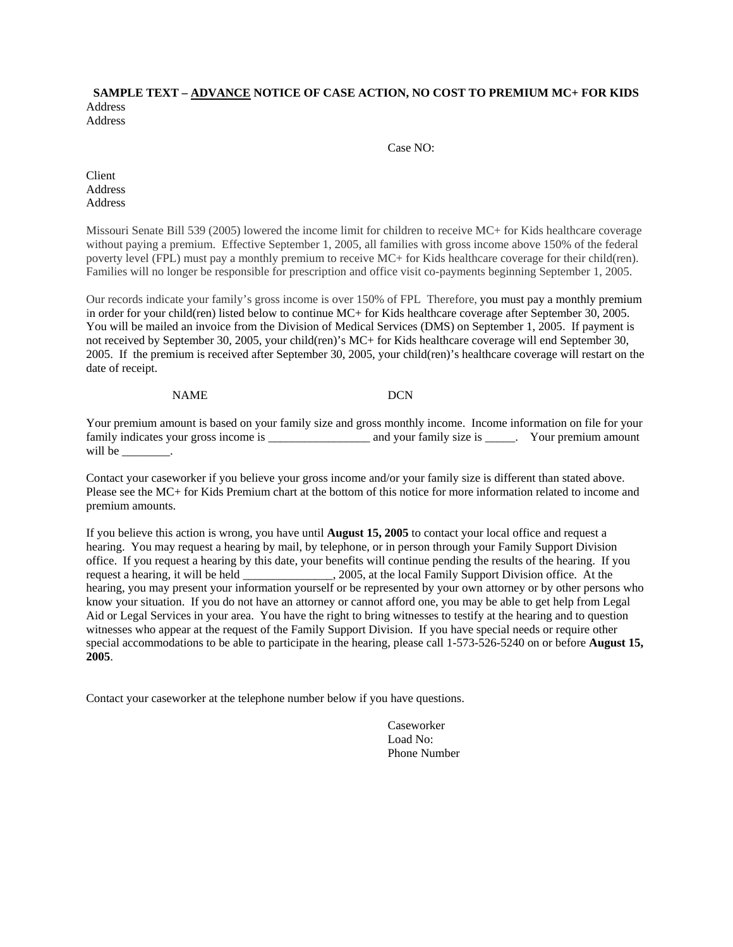## **SAMPLE TEXT – ADVANCE NOTICE OF CASE ACTION, NO COST TO PREMIUM MC+ FOR KIDS**  Address

Address

Case NO:

Client Address Address

Missouri Senate Bill 539 (2005) lowered the income limit for children to receive MC+ for Kids healthcare coverage without paying a premium. Effective September 1, 2005, all families with gross income above 150% of the federal poverty level (FPL) must pay a monthly premium to receive MC+ for Kids healthcare coverage for their child(ren). Families will no longer be responsible for prescription and office visit co-payments beginning September 1, 2005.

Our records indicate your family's gross income is over 150% of FPL Therefore, you must pay a monthly premium in order for your child(ren) listed below to continue MC+ for Kids healthcare coverage after September 30, 2005. You will be mailed an invoice from the Division of Medical Services (DMS) on September 1, 2005. If payment is not received by September 30, 2005, your child(ren)'s MC+ for Kids healthcare coverage will end September 30, 2005. If the premium is received after September 30, 2005, your child(ren)'s healthcare coverage will restart on the date of receipt.

NAME DCN

Your premium amount is based on your family size and gross monthly income. Income information on file for your family indicates your gross income is \_\_\_\_\_\_\_\_\_\_\_\_\_\_\_\_\_\_\_\_\_ and your family size is \_\_\_\_\_. Your premium amount will be

Contact your caseworker if you believe your gross income and/or your family size is different than stated above. Please see the MC+ for Kids Premium chart at the bottom of this notice for more information related to income and premium amounts.

If you believe this action is wrong, you have until **August 15, 2005** to contact your local office and request a hearing. You may request a hearing by mail, by telephone, or in person through your Family Support Division office. If you request a hearing by this date, your benefits will continue pending the results of the hearing. If you request a hearing, it will be held \_\_\_\_\_\_\_\_\_\_\_\_\_\_\_, 2005, at the local Family Support Division office. At the hearing, you may present your information yourself or be represented by your own attorney or by other persons who know your situation. If you do not have an attorney or cannot afford one, you may be able to get help from Legal Aid or Legal Services in your area. You have the right to bring witnesses to testify at the hearing and to question witnesses who appear at the request of the Family Support Division. If you have special needs or require other special accommodations to be able to participate in the hearing, please call 1-573-526-5240 on or before **August 15, 2005**.

Contact your caseworker at the telephone number below if you have questions.

 Caseworker Load No: Phone Number